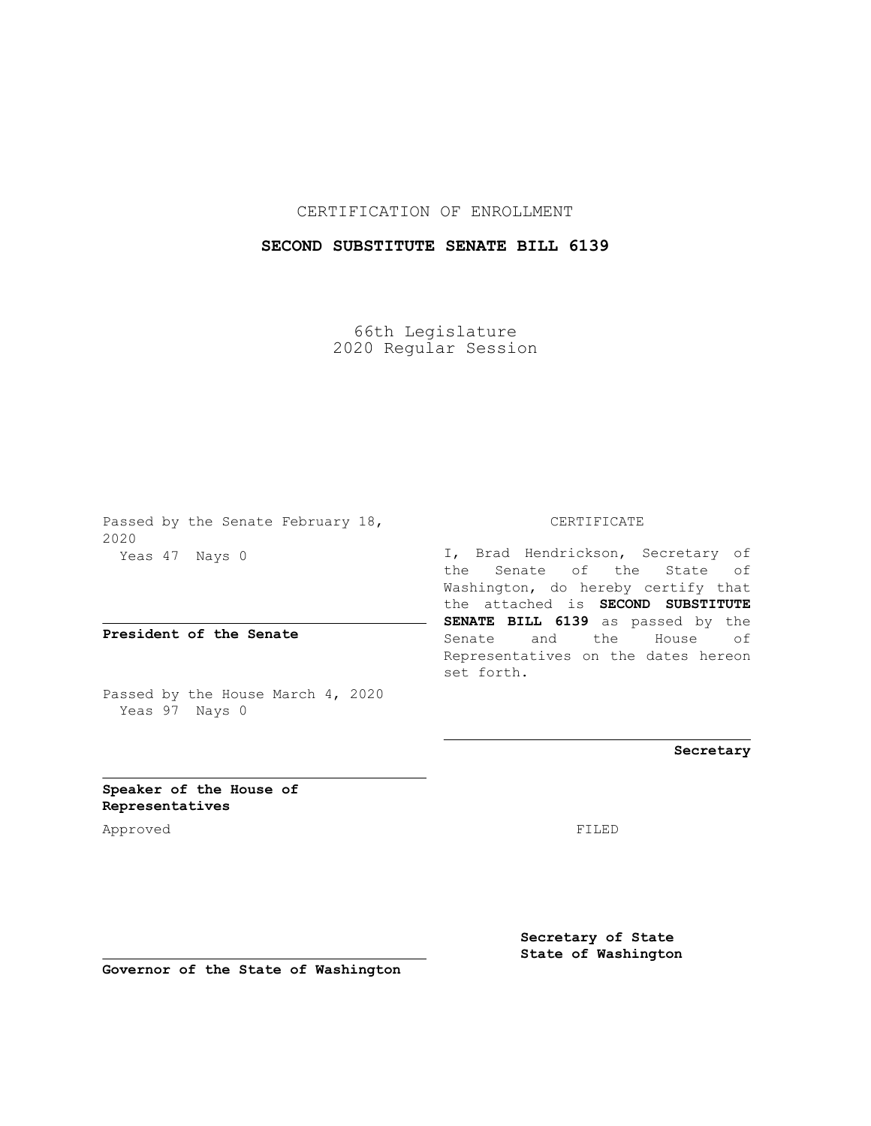## CERTIFICATION OF ENROLLMENT

## **SECOND SUBSTITUTE SENATE BILL 6139**

66th Legislature 2020 Regular Session

Passed by the Senate February 18, 2020 Yeas 47 Nays 0

**President of the Senate**

Passed by the House March 4, 2020 Yeas 97 Nays 0

## CERTIFICATE

I, Brad Hendrickson, Secretary of the Senate of the State of Washington, do hereby certify that the attached is **SECOND SUBSTITUTE SENATE BILL 6139** as passed by the Senate and the House of Representatives on the dates hereon set forth.

**Secretary**

**Speaker of the House of Representatives**

Approved FILED

**Secretary of State State of Washington**

**Governor of the State of Washington**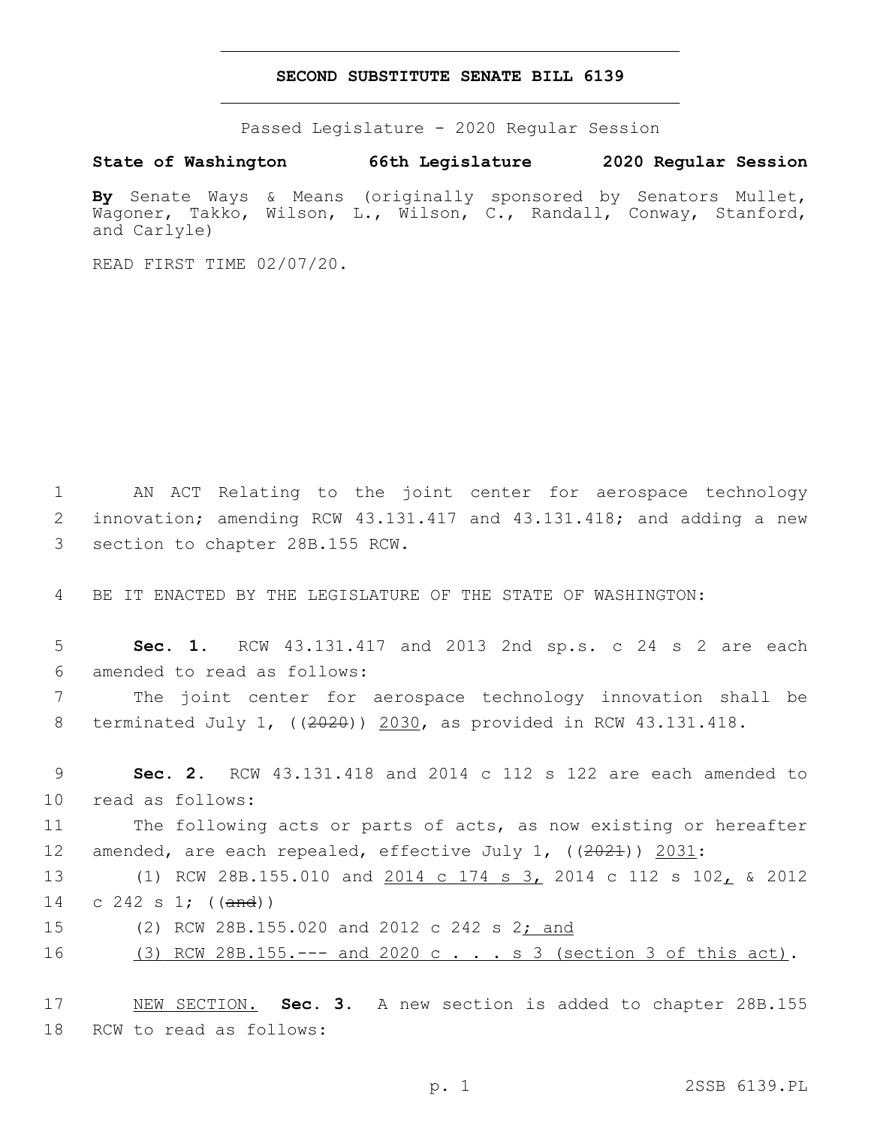## **SECOND SUBSTITUTE SENATE BILL 6139**

Passed Legislature - 2020 Regular Session

**State of Washington 66th Legislature 2020 Regular Session**

**By** Senate Ways & Means (originally sponsored by Senators Mullet, Wagoner, Takko, Wilson, L., Wilson, C., Randall, Conway, Stanford, and Carlyle)

READ FIRST TIME 02/07/20.

1 AN ACT Relating to the joint center for aerospace technology 2 innovation; amending RCW 43.131.417 and 43.131.418; and adding a new 3 section to chapter 28B.155 RCW.

4 BE IT ENACTED BY THE LEGISLATURE OF THE STATE OF WASHINGTON:

5 **Sec. 1.** RCW 43.131.417 and 2013 2nd sp.s. c 24 s 2 are each 6 amended to read as follows:

7 The joint center for aerospace technology innovation shall be 8 terminated July 1, ((2020)) 2030, as provided in RCW 43.131.418.

9 **Sec. 2.** RCW 43.131.418 and 2014 c 112 s 122 are each amended to 10 read as follows:

11 The following acts or parts of acts, as now existing or hereafter 12 amended, are each repealed, effective July 1, ((2021)) 2031:

13 (1) RCW 28B.155.010 and 2014 c 174 s 3, 2014 c 112 s 102, & 2012 14 c 242 s 1; ((and))

15 (2) RCW 28B.155.020 and 2012 c 242 s 2; and

16 (3) RCW 28B.155.--- and 2020 c . . . s 3 (section 3 of this act).

17 NEW SECTION. **Sec. 3.** A new section is added to chapter 28B.155 18 RCW to read as follows: